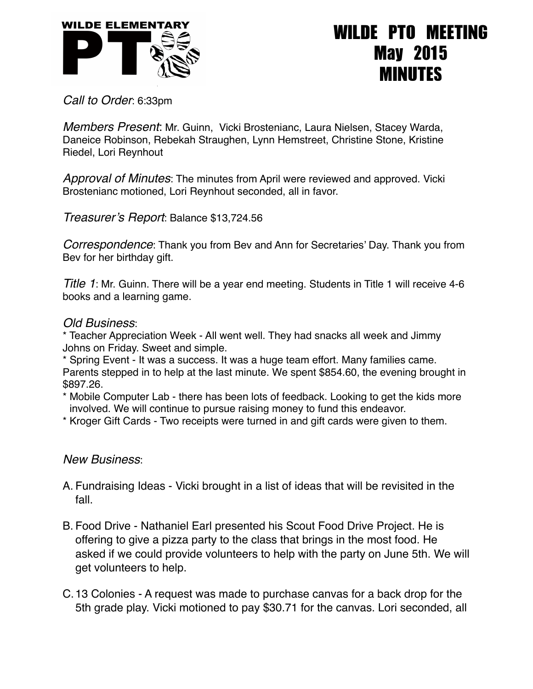

## WILDE PTO MEETING May 2015 MINUTES

*Call to Order*: 6:33pm

*Members Present*: Mr. Guinn, Vicki Brostenianc, Laura Nielsen, Stacey Warda, Daneice Robinson, Rebekah Straughen, Lynn Hemstreet, Christine Stone, Kristine Riedel, Lori Reynhout

*Approval of Minutes*: The minutes from April were reviewed and approved. Vicki Brostenianc motioned, Lori Reynhout seconded, all in favor.

*Treasurer's Report*: Balance \$13,724.56

*Correspondence*: Thank you from Bev and Ann for Secretaries' Day. Thank you from Bev for her birthday gift.

*Title 1*: Mr. Guinn. There will be a year end meeting. Students in Title 1 will receive 4-6 books and a learning game.

## *Old Business*:

\* Teacher Appreciation Week - All went well. They had snacks all week and Jimmy Johns on Friday. Sweet and simple.

\* Spring Event - It was a success. It was a huge team effort. Many families came. Parents stepped in to help at the last minute. We spent \$854.60, the evening brought in \$897.26.

- \* Mobile Computer Lab there has been lots of feedback. Looking to get the kids more involved. We will continue to pursue raising money to fund this endeavor.
- \* Kroger Gift Cards Two receipts were turned in and gift cards were given to them.

## *New Business*:

- A. Fundraising Ideas Vicki brought in a list of ideas that will be revisited in the fall.
- B. Food Drive Nathaniel Earl presented his Scout Food Drive Project. He is offering to give a pizza party to the class that brings in the most food. He asked if we could provide volunteers to help with the party on June 5th. We will get volunteers to help.
- C.13 Colonies A request was made to purchase canvas for a back drop for the 5th grade play. Vicki motioned to pay \$30.71 for the canvas. Lori seconded, all